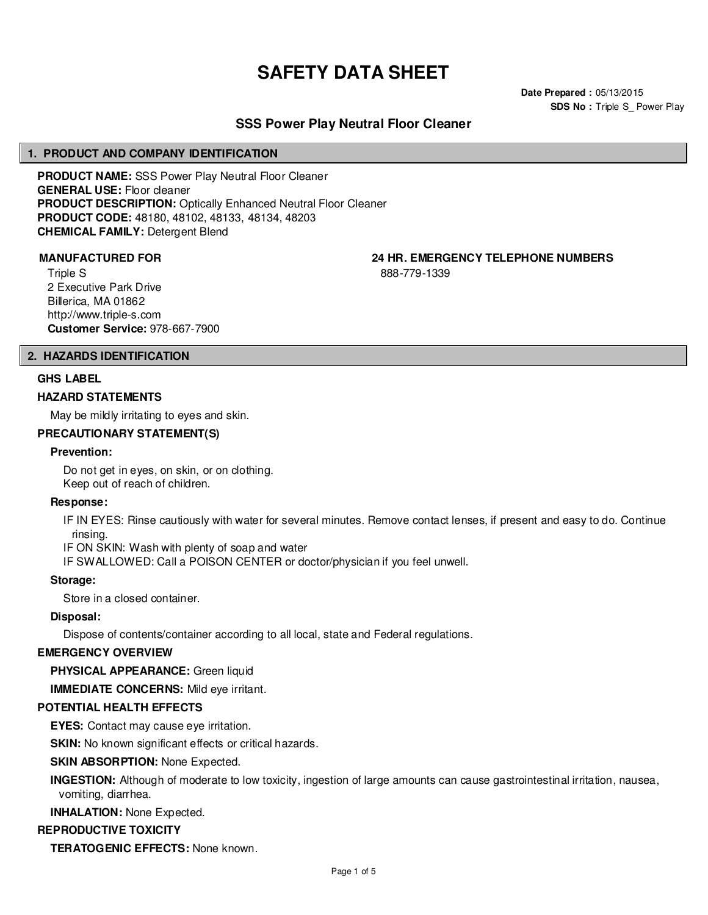# **SAFETY DATA SHEET**

**Date Prepared :** 05/13/2015 **SDS No : Triple S\_ Power Play** 

# **SSS Power Play Neutral Floor Cleaner**

#### **1. PRODUCT AND COMPANY IDENTIFICATION**

**PRODUCT NAME:** SSS Power Play Neutral Floor Cleaner **GENERAL USE:** Floor cleaner **PRODUCT DESCRIPTION:** Optically Enhanced Neutral Floor Cleaner **PRODUCT CODE:** 48180, 48102, 48133, 48134, 48203 **CHEMICAL FAMILY:** Detergent Blend

Triple S 2 Executive Park Drive Billerica, MA 01862 http://www.triple-s.com **Customer Service:** 978-667-7900

**MANUFACTURED FOR 24 HR. EMERGENCY TELEPHONE NUMBERS**

888-779-1339

#### **2. HAZARDS IDENTIFICATION**

#### **GHS LABEL**

#### **HAZARD STATEMENTS**

May be mildly irritating to eyes and skin.

#### **PRECAUTIONARY STATEMENT(S)**

#### **Prevention:**

Do not get in eyes, on skin, or on clothing. Keep out of reach of children.

#### **Response:**

IF IN EYES: Rinse cautiously with water for several minutes. Remove contact lenses, if present and easy to do. Continue rinsing.

IF ON SKIN: Wash with plenty of soap and water

IF SWALLOWED: Call a POISON CENTER or doctor/physician if you feel unwell.

#### **Storage:**

Store in a closed container.

#### **Disposal:**

Dispose of contents/container according to all local, state and Federal regulations.

#### **EMERGENCY OVERVIEW**

**PHYSICAL APPEARANCE:** Green liquid

**IMMEDIATE CONCERNS:** Mild eye irritant.

#### **POTENTIAL HEALTH EFFECTS**

**EYES:** Contact may cause eye irritation.

**SKIN:** No known significant effects or critical hazards.

#### **SKIN ABSORPTION: None Expected.**

**INGESTION:** Although of moderate to low toxicity, ingestion of large amounts can cause gastrointestinal irritation, nausea, vomiting, diarrhea.

**INHALATION:** None Expected.

#### **REPRODUCTIVE TOXICITY**

**TERATOGENIC EFFECTS:** None known.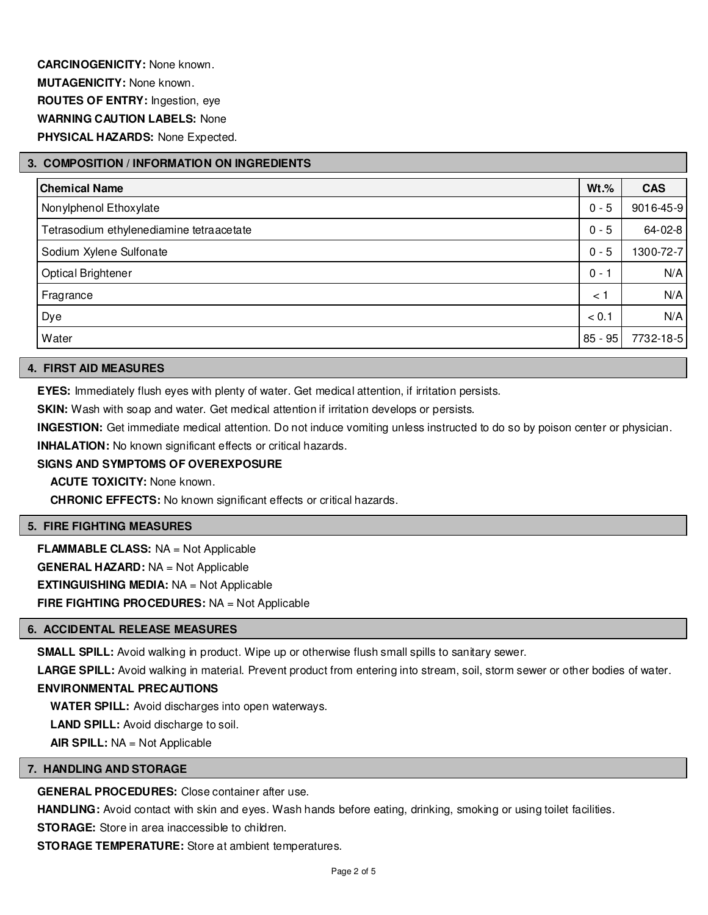# **3. COMPOSITION / INFORMATION ON INGREDIENTS**

| <b>Chemical Name</b>                     | $Wt.\%$   | <b>CAS</b> |
|------------------------------------------|-----------|------------|
| Nonylphenol Ethoxylate                   | $0 - 5$   | 9016-45-9  |
| Tetrasodium ethylenediamine tetraacetate | $0 - 5$   | 64-02-8    |
| Sodium Xylene Sulfonate                  | $0 - 5$   | 1300-72-7  |
| Optical Brightener                       | $0 - 7$   | N/A        |
| Fragrance                                | < 1       | N/A        |
| Dye                                      | < 0.1     | N/A        |
| Water                                    | $85 - 95$ | 7732-18-5  |

#### **4. FIRST AID MEASURES**

**EYES:** Immediately flush eyes with plenty of water. Get medical attention, if irritation persists.

**SKIN:** Wash with soap and water. Get medical attention if irritation develops or persists.

**INGESTION:** Get immediate medical attention. Do not induce vomiting unless instructed to do so by poison center or physician.

**INHALATION:** No known significant effects or critical hazards.

### **SIGNS AND SYMPTOMS OF OVEREXPOSURE**

**ACUTE TOXICITY:** None known.

**CHRONIC EFFECTS:** No known significant effects or critical hazards.

#### **5. FIRE FIGHTING MEASURES**

**FLAMMABLE CLASS:** NA = Not Applicable **GENERAL HAZARD:** NA = Not Applicable **EXTINGUISHING MEDIA:** NA = Not Applicable **FIRE FIGHTING PROCEDURES:** NA = Not Applicable

#### **6. ACCIDENTAL RELEASE MEASURES**

**SMALL SPILL:** Avoid walking in product. Wipe up or otherwise flush small spills to sanitary sewer.

LARGE SPILL: Avoid walking in material. Prevent product from entering into stream, soil, storm sewer or other bodies of water.

# **ENVIRONMENTAL PRECAUTIONS**

**WATER SPILL:** Avoid discharges into open waterways.

**LAND SPILL:** Avoid discharge to soil.

**AIR SPILL:** NA = Not Applicable

# **7. HANDLING AND STORAGE**

**GENERAL PROCEDURES:** Close container after use.

**HANDLING:** Avoid contact with skin and eyes. Wash hands before eating, drinking, smoking or using toilet facilities.

**STORAGE:** Store in area inaccessible to children.

**STORAGE TEMPERATURE:** Store at ambient temperatures.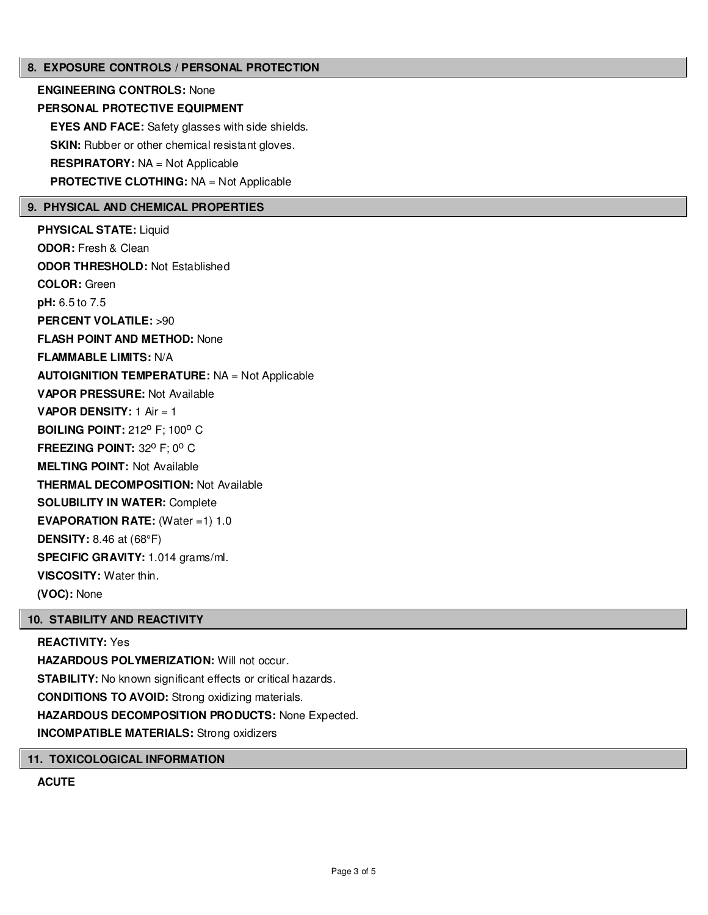#### **8. EXPOSURE CONTROLS / PERSONAL PROTECTION**

**ENGINEERING CONTROLS:** None **PERSONAL PROTECTIVE EQUIPMENT EYES AND FACE:** Safety glasses with side shields. **SKIN:** Rubber or other chemical resistant gloves. **RESPIRATORY:** NA = Not Applicable **PROTECTIVE CLOTHING:** NA = Not Applicable

#### **9. PHYSICAL AND CHEMICAL PROPERTIES**

**PHYSICAL STATE:** Liquid **ODOR:** Fresh & Clean **ODOR THRESHOLD:** Not Established **COLOR:** Green **pH:** 6.5 to 7.5 **PERCENT VOLATILE:** >90 **FLASH POINT AND METHOD:** None **FLAMMABLE LIMITS:** N/A **AUTOIGNITION TEMPERATURE:** NA = Not Applicable **VAPOR PRESSURE:** Not Available **VAPOR DENSITY:** 1 Air = 1 **BOILING POINT: 212° F: 100° C FREEZING POINT: 32° F; 0° C MELTING POINT:** Not Available **THERMAL DECOMPOSITION:** Not Available **SOLUBILITY IN WATER:** Complete **EVAPORATION RATE:** (Water =1) 1.0 **DENSITY:** 8.46 at (68°F) **SPECIFIC GRAVITY:** 1.014 grams/ml. **VISCOSITY:** Water thin. **(VOC):** None

#### **10. STABILITY AND REACTIVITY**

## **REACTIVITY:** Yes

**HAZARDOUS POLYMERIZATION: Will not occur. STABILITY:** No known significant effects or critical hazards. **CONDITIONS TO AVOID:** Strong oxidizing materials. **HAZARDOUS DECOMPOSITION PRODUCTS:** None Expected. **INCOMPATIBLE MATERIALS:** Strong oxidizers

#### **11. TOXICOLOGICAL INFORMATION**

**ACUTE**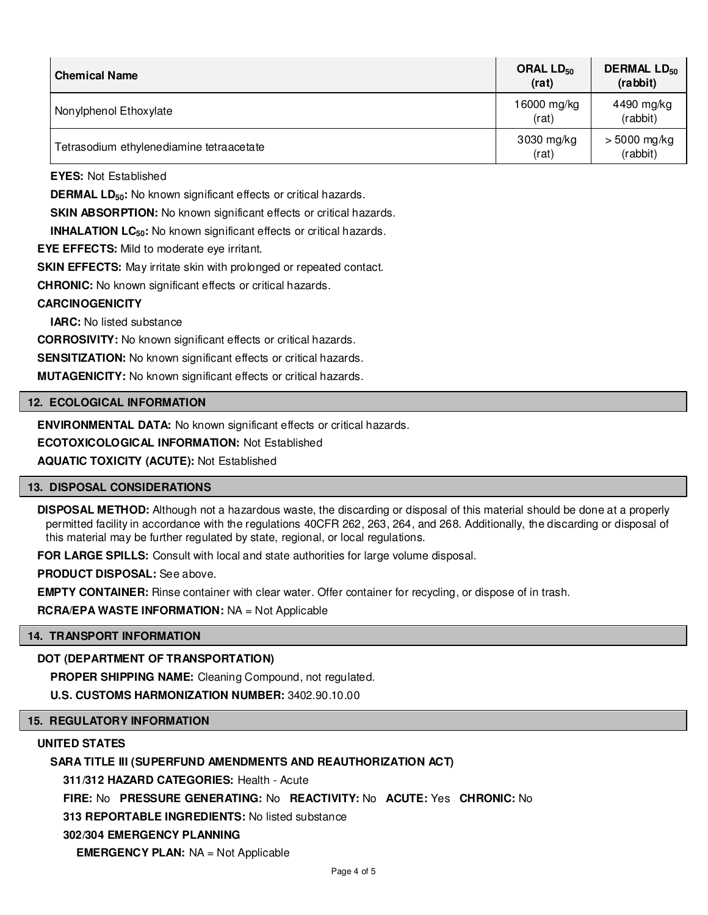| <b>Chemical Name</b>                     | ORAL LD <sub>50</sub><br>(rat) | <b>DERMAL LD<sub>50</sub></b><br>(rabbit) |
|------------------------------------------|--------------------------------|-------------------------------------------|
| Nonylphenol Ethoxylate                   | 16000 mg/kg<br>(rat)           | 4490 mg/kg<br>(rabbit)                    |
| Tetrasodium ethylenediamine tetraacetate | 3030 mg/kg<br>(rat)            | > 5000 mg/kg<br>(rabbit)                  |

**EYES:** Not Established

**DERMAL LD**<sub>50</sub>: No known significant effects or critical hazards.

**SKIN ABSORPTION:** No known significant effects or critical hazards.

**INHALATION LC<sub>50</sub>:** No known significant effects or critical hazards.

**EYE EFFECTS:** Mild to moderate eye irritant.

**SKIN EFFECTS:** May irritate skin with prolonged or repeated contact.

**CHRONIC:** No known significant effects or critical hazards.

#### **CARCINOGENICITY**

**IARC:** No listed substance

**CORROSIVITY:** No known significant effects or critical hazards.

**SENSITIZATION:** No known significant effects or critical hazards.

**MUTAGENICITY:** No known significant effects or critical hazards.

#### **12. ECOLOGICAL INFORMATION**

**ENVIRONMENTAL DATA:** No known significant effects or critical hazards.

**ECOTOXICOLOGICAL INFORMATION:** Not Established

**AQUATIC TOXICITY (ACUTE):** Not Established

#### **13. DISPOSAL CONSIDERATIONS**

**DISPOSAL METHOD:** Although not a hazardous waste, the discarding or disposal of this material should be done at a properly permitted facility in accordance with the regulations 40CFR 262, 263, 264, and 268. Additionally, the discarding or disposal of this material may be further regulated by state, regional, or local regulations.

**FOR LARGE SPILLS:** Consult with local and state authorities for large volume disposal.

**PRODUCT DISPOSAL:** See above.

**EMPTY CONTAINER:** Rinse container with clear water. Offer container for recycling, or dispose of in trash.

**RCRA/EPA WASTE INFORMATION:** NA = Not Applicable

#### **14. TRANSPORT INFORMATION**

### **DOT (DEPARTMENT OF TRANSPORTATION)**

**PROPER SHIPPING NAME:** Cleaning Compound, not regulated.

**U.S. CUSTOMS HARMONIZATION NUMBER:** 3402.90.10.00

# **15. REGULATORY INFORMATION**

#### **UNITED STATES**

### **SARA TITLE III (SUPERFUND AMENDMENTS AND REAUTHORIZATION ACT)**

**311/312 HAZARD CATEGORIES:** Health - Acute

**FIRE:** No **PRESSURE GENERATING:** No **REACTIVITY:** No **ACUTE:** Yes **CHRONIC:** No

**313 REPORTABLE INGREDIENTS:** No listed substance

#### **302/304 EMERGENCY PLANNING**

**EMERGENCY PLAN:** NA = Not Applicable